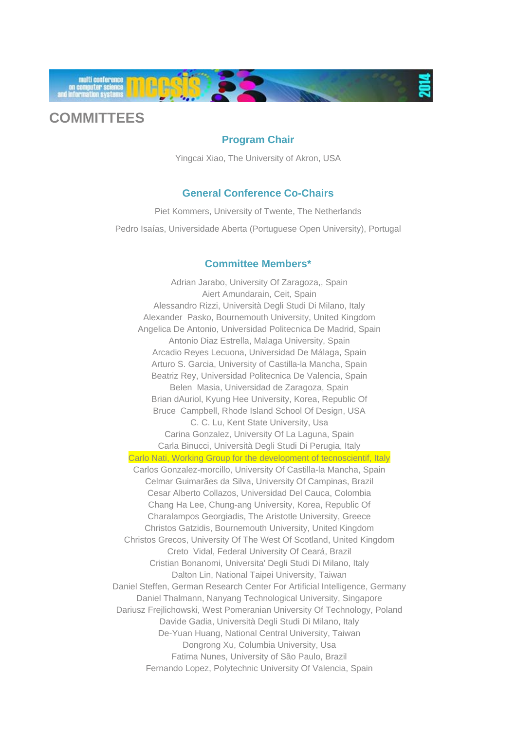

## **COMMITTEES**

## **Program Chair**

Yingcai Xiao, The University of Akron, USA

## **General Conference Co-Chairs**

Piet Kommers, University of Twente, The Netherlands Pedro Isaías, Universidade Aberta (Portuguese Open University), Portugal

## **Committee Members\***

 Adrian Jarabo, University Of Zaragoza,, Spain Aiert Amundarain, Ceit, Spain Alessandro Rizzi, Università Degli Studi Di Milano, Italy Alexander Pasko, Bournemouth University, United Kingdom Angelica De Antonio, Universidad Politecnica De Madrid, Spain Antonio Diaz Estrella, Malaga University, Spain Arcadio Reyes Lecuona, Universidad De Málaga, Spain Arturo S. Garcia, University of Castilla-la Mancha, Spain Beatriz Rey, Universidad Politecnica De Valencia, Spain Belen Masia, Universidad de Zaragoza, Spain Brian dAuriol, Kyung Hee University, Korea, Republic Of Bruce Campbell, Rhode Island School Of Design, USA C. C. Lu, Kent State University, Usa Carina Gonzalez, University Of La Laguna, Spain Carla Binucci, Università Degli Studi Di Perugia, Italy Carlo Nati, Working Group for the development of tecnoscientif, Italy Carlos Gonzalez-morcillo, University Of Castilla-la Mancha, Spain Celmar Guimarães da Silva, University Of Campinas, Brazil Cesar Alberto Collazos, Universidad Del Cauca, Colombia Chang Ha Lee, Chung-ang University, Korea, Republic Of Charalampos Georgiadis, The Aristotle University, Greece Christos Gatzidis, Bournemouth University, United Kingdom Christos Grecos, University Of The West Of Scotland, United Kingdom Creto Vidal, Federal University Of Ceará, Brazil Cristian Bonanomi, Universita' Degli Studi Di Milano, Italy Dalton Lin, National Taipei University, Taiwan Daniel Steffen, German Research Center For Artificial Intelligence, Germany Daniel Thalmann, Nanyang Technological University, Singapore Dariusz Frejlichowski, West Pomeranian University Of Technology, Poland Davide Gadia, Università Degli Studi Di Milano, Italy De-Yuan Huang, National Central University, Taiwan Dongrong Xu, Columbia University, Usa Fatima Nunes, University of São Paulo, Brazil Fernando Lopez, Polytechnic University Of Valencia, Spain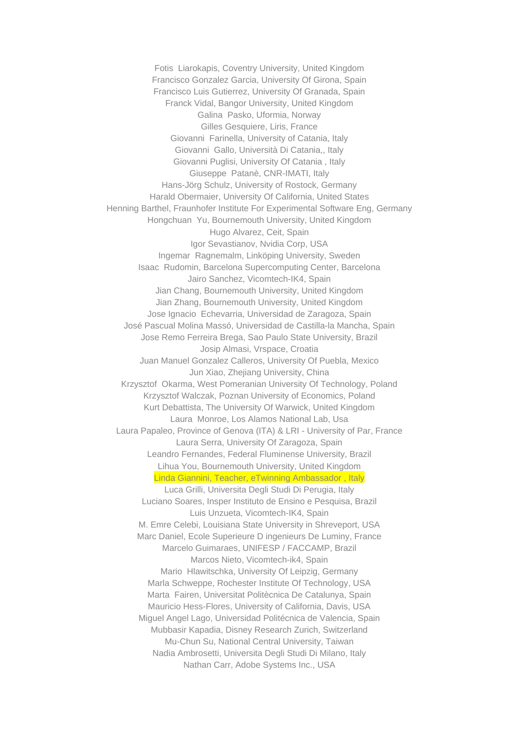Fotis Liarokapis, Coventry University, United Kingdom Francisco Gonzalez Garcia, University Of Girona, Spain Francisco Luis Gutierrez, University Of Granada, Spain Franck Vidal, Bangor University, United Kingdom Galina Pasko, Uformia, Norway Gilles Gesquiere, Liris, France Giovanni Farinella, University of Catania, Italy Giovanni Gallo, Università Di Catania,, Italy Giovanni Puglisi, University Of Catania , Italy Giuseppe Patanè, CNR-IMATI, Italy Hans-Jörg Schulz, University of Rostock, Germany Harald Obermaier, University Of California, United States Henning Barthel, Fraunhofer Institute For Experimental Software Eng, Germany Hongchuan Yu, Bournemouth University, United Kingdom Hugo Alvarez, Ceit, Spain Igor Sevastianov, Nvidia Corp, USA Ingemar Ragnemalm, Linköping University, Sweden Isaac Rudomin, Barcelona Supercomputing Center, Barcelona Jairo Sanchez, Vicomtech-IK4, Spain Jian Chang, Bournemouth University, United Kingdom Jian Zhang, Bournemouth University, United Kingdom Jose Ignacio Echevarria, Universidad de Zaragoza, Spain José Pascual Molina Massó, Universidad de Castilla-la Mancha, Spain Jose Remo Ferreira Brega, Sao Paulo State University, Brazil Josip Almasi, Vrspace, Croatia Juan Manuel Gonzalez Calleros, University Of Puebla, Mexico Jun Xiao, Zhejiang University, China Krzysztof Okarma, West Pomeranian University Of Technology, Poland Krzysztof Walczak, Poznan University of Economics, Poland Kurt Debattista, The University Of Warwick, United Kingdom Laura Monroe, Los Alamos National Lab, Usa Laura Papaleo, Province of Genova (ITA) & LRI - University of Par, France Laura Serra, University Of Zaragoza, Spain Leandro Fernandes, Federal Fluminense University, Brazil Lihua You, Bournemouth University, United Kingdom Linda Giannini, Teacher, eTwinning Ambassador , Italy Luca Grilli, Universita Degli Studi Di Perugia, Italy Luciano Soares, Insper Instituto de Ensino e Pesquisa, Brazil Luis Unzueta, Vicomtech-IK4, Spain M. Emre Celebi, Louisiana State University in Shreveport, USA Marc Daniel, Ecole Superieure D ingenieurs De Luminy, France Marcelo Guimaraes, UNIFESP / FACCAMP, Brazil Marcos Nieto, Vicomtech-ik4, Spain Mario Hlawitschka, University Of Leipzig, Germany Marla Schweppe, Rochester Institute Of Technology, USA Marta Fairen, Universitat Politècnica De Catalunya, Spain Mauricio Hess-Flores, University of California, Davis, USA Miguel Angel Lago, Universidad Politécnica de Valencia, Spain Mubbasir Kapadia, Disney Research Zurich, Switzerland Mu-Chun Su, National Central University, Taiwan Nadia Ambrosetti, Universita Degli Studi Di Milano, Italy Nathan Carr, Adobe Systems Inc., USA